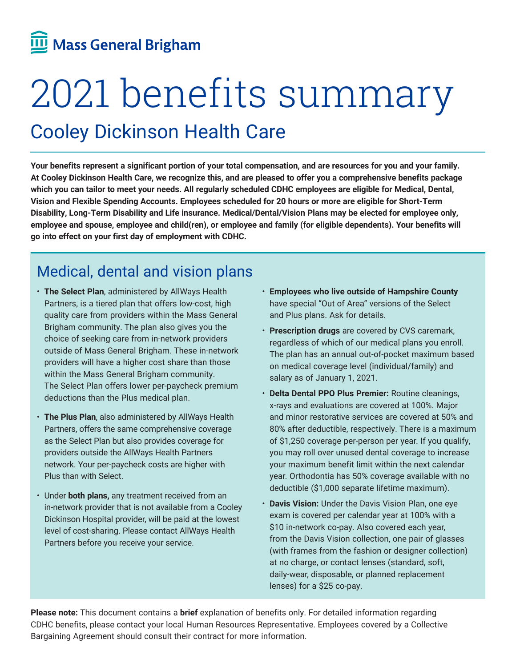# Mass General Brigham

# 2021 benefits summary

## Cooley Dickinson Health Care

**Your benefits represent a significant portion of your total compensation, and are resources for you and your family. At Cooley Dickinson Health Care, we recognize this, and are pleased to offer you a comprehensive benefits package which you can tailor to meet your needs. All regularly scheduled CDHC employees are eligible for Medical, Dental, Vision and Flexible Spending Accounts. Employees scheduled for 20 hours or more are eligible for Short-Term Disability, Long-Term Disability and Life insurance. Medical/Dental/Vision Plans may be elected for employee only, employee and spouse, employee and child(ren), or employee and family (for eligible dependents). Your benefits will go into effect on your first day of employment with CDHC.**

## Medical, dental and vision plans

- **The Select Plan**, administered by AllWays Health Partners, is a tiered plan that offers low-cost, high quality care from providers within the Mass General Brigham community. The plan also gives you the choice of seeking care from in-network providers outside of Mass General Brigham. These in-network providers will have a higher cost share than those within the Mass General Brigham community. The Select Plan offers lower per-paycheck premium deductions than the Plus medical plan.
- **The Plus Plan**, also administered by AllWays Health Partners, offers the same comprehensive coverage as the Select Plan but also provides coverage for providers outside the AllWays Health Partners network. Your per-paycheck costs are higher with Plus than with Select.
- Under **both plans,** any treatment received from an in-network provider that is not available from a Cooley Dickinson Hospital provider, will be paid at the lowest level of cost-sharing. Please contact AllWays Health Partners before you receive your service.
- **Employees who live outside of Hampshire County**  have special "Out of Area" versions of the Select and Plus plans. Ask for details.
- **Prescription drugs** are covered by CVS caremark, regardless of which of our medical plans you enroll. The plan has an annual out-of-pocket maximum based on medical coverage level (individual/family) and salary as of January 1, 2021.
- **Delta Dental PPO Plus Premier:** Routine cleanings, x-rays and evaluations are covered at 100%. Major and minor restorative services are covered at 50% and 80% after deductible, respectively. There is a maximum of \$1,250 coverage per-person per year. If you qualify, you may roll over unused dental coverage to increase your maximum benefit limit within the next calendar year. Orthodontia has 50% coverage available with no deductible (\$1,000 separate lifetime maximum).
- **Davis Vision:** Under the Davis Vision Plan, one eye exam is covered per calendar year at 100% with a \$10 in-network co-pay. Also covered each year, from the Davis Vision collection, one pair of glasses (with frames from the fashion or designer collection) at no charge, or contact lenses (standard, soft, daily-wear, disposable, or planned replacement lenses) for a \$25 co-pay.

**Please note:** This document contains a **brief** explanation of benefits only. For detailed information regarding CDHC benefits, please contact your local Human Resources Representative. Employees covered by a Collective Bargaining Agreement should consult their contract for more information.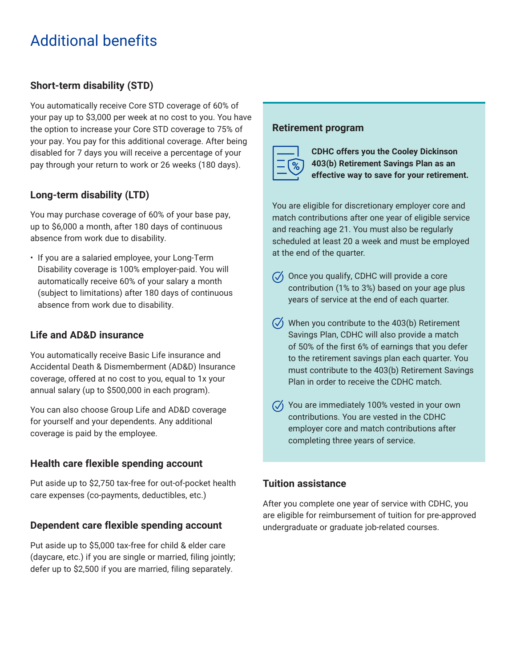## Additional benefits

#### **Short-term disability (STD)**

You automatically receive Core STD coverage of 60% of your pay up to \$3,000 per week at no cost to you. You have the option to increase your Core STD coverage to 75% of your pay. You pay for this additional coverage. After being disabled for 7 days you will receive a percentage of your pay through your return to work or 26 weeks (180 days).

#### **Long-term disability (LTD)**

You may purchase coverage of 60% of your base pay, up to \$6,000 a month, after 180 days of continuous absence from work due to disability.

• If you are a salaried employee, your Long-Term Disability coverage is 100% employer-paid. You will automatically receive 60% of your salary a month (subject to limitations) after 180 days of continuous absence from work due to disability.

#### **Life and AD&D insurance**

You automatically receive Basic Life insurance and Accidental Death & Dismemberment (AD&D) Insurance coverage, offered at no cost to you, equal to 1x your annual salary (up to \$500,000 in each program).

You can also choose Group Life and AD&D coverage for yourself and your dependents. Any additional coverage is paid by the employee.

#### **Health care flexible spending account**

Put aside up to \$2,750 tax-free for out-of-pocket health care expenses (co-payments, deductibles, etc.)

#### **Dependent care flexible spending account**

Put aside up to \$5,000 tax-free for child & elder care (daycare, etc.) if you are single or married, filing jointly; defer up to \$2,500 if you are married, filing separately.

#### **Retirement program**



**CDHC offers you the Cooley Dickinson 403(b) Retirement Savings Plan as an effective way to save for your retirement.** 

You are eligible for discretionary employer core and match contributions after one year of eligible service and reaching age 21. You must also be regularly scheduled at least 20 a week and must be employed at the end of the quarter.

- $\sqrt{\sqrt{ }}$  Once you qualify, CDHC will provide a core contribution (1% to 3%) based on your age plus years of service at the end of each quarter.
- $\sqrt{2}$  When you contribute to the 403(b) Retirement Savings Plan, CDHC will also provide a match of 50% of the first 6% of earnings that you defer to the retirement savings plan each quarter. You must contribute to the 403(b) Retirement Savings Plan in order to receive the CDHC match.
- $\sqrt{2}$  You are immediately 100% vested in your own contributions. You are vested in the CDHC employer core and match contributions after completing three years of service.

#### **Tuition assistance**

After you complete one year of service with CDHC, you are eligible for reimbursement of tuition for pre-approved undergraduate or graduate job-related courses.